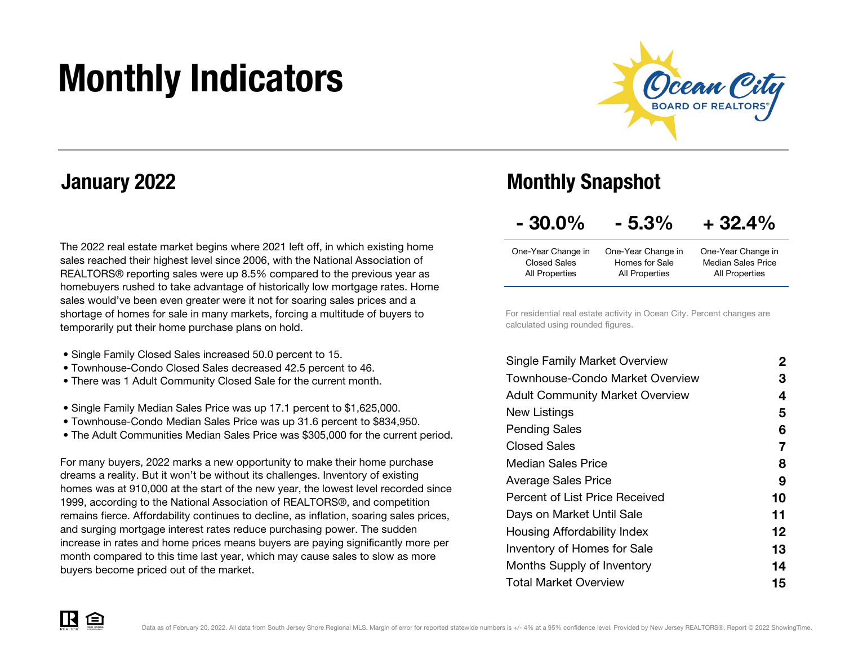# Monthly Indicators



### January 2022

The 2022 real estate market begins where 2021 left off, in which existing home sales reached their highest level since 2006, with the National Association of REALTORS® reporting sales were up 8.5% compared to the previous year as homebuyers rushed to take advantage of historically low mortgage rates. Home sales would've been even greater were it not for soaring sales prices and a shortage of homes for sale in many markets, forcing a multitude of buyers to temporarily put their home purchase plans on hold.

- Single Family Closed Sales increased 50.0 percent to 15.
- Townhouse-Condo Closed Sales decreased 42.5 percent to 46.
- There was 1 Adult Community Closed Sale for the current month.
- Single Family Median Sales Price was up 17.1 percent to \$1,625,000.
- Townhouse-Condo Median Sales Price was up 31.6 percent to \$834,950.
- The Adult Communities Median Sales Price was \$305,000 for the current period.

For many buyers, 2022 marks a new opportunity to make their home purchase dreams a reality. But it won't be without its challenges. Inventory of existing homes was at 910,000 at the start of the new year, the lowest level recorded since 1999, according to the National Association of REALTORS®, and competition remains fierce. Affordability continues to decline, as inflation, soaring sales prices, and surging mortgage interest rates reduce purchasing power. The sudden increase in rates and home prices means buyers are paying significantly more per month compared to this time last year, which may cause sales to slow as more buyers become priced out of the market.

### Monthly Snapshot

| $-30.0\%$<br>$+32.4%$<br>$-5.3%$ |
|----------------------------------|
|----------------------------------|

| One-Year Change in | One-Year Change in | One-Year Change in        |
|--------------------|--------------------|---------------------------|
| Closed Sales       | Homes for Sale     | <b>Median Sales Price</b> |
| All Properties     | All Properties     | All Properties            |

For residential real estate activity in Ocean City. Percent changes are calculated using rounded figures.

| <b>Single Family Market Overview</b>   | 2  |
|----------------------------------------|----|
| Townhouse-Condo Market Overview        | З  |
| <b>Adult Community Market Overview</b> | 4  |
| New Listings                           | 5  |
| <b>Pending Sales</b>                   | 6  |
| Closed Sales                           | 7  |
| Median Sales Price                     | 8  |
| <b>Average Sales Price</b>             | 9  |
| Percent of List Price Received         | 10 |
| Days on Market Until Sale              | 11 |
| Housing Affordability Index            | 12 |
| <b>Inventory of Homes for Sale</b>     | 13 |
| Months Supply of Inventory             | 14 |
| <b>Total Market Overview</b>           | 15 |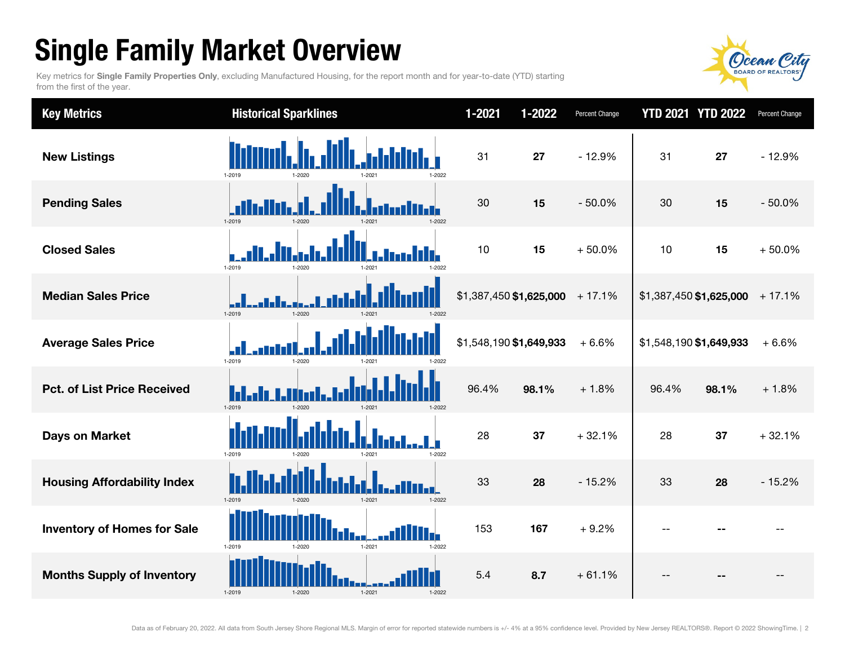## Single Family Market Overview

Key metrics for Single Family Properties Only, excluding Manufactured Housing, for the report month and for year-to-date (YTD) starting from the first of the year.



| <b>Key Metrics</b>                 | <b>Historical Sparklines</b>                     | 1-2021                  | 1-2022 | Percent Change | <b>YTD 2021 YTD 2022</b> |       | Percent Change |
|------------------------------------|--------------------------------------------------|-------------------------|--------|----------------|--------------------------|-------|----------------|
| <b>New Listings</b>                | 1-2019<br>1-2022                                 | 31                      | 27     | $-12.9%$       | 31                       | 27    | $-12.9%$       |
| <b>Pending Sales</b>               | 1-2019<br>1-2020<br>1-2021<br>1-2022             | 30                      | 15     | $-50.0%$       | 30                       | 15    | $-50.0%$       |
| <b>Closed Sales</b>                | 1-2019<br>1-2020<br>$-2022$                      | 10                      | 15     | $+50.0%$       | 10                       | 15    | $+50.0%$       |
| <b>Median Sales Price</b>          | 1-2019<br>$1 - 2020$<br>1-2022<br>$1 - 2021$     | \$1,387,450 \$1,625,000 |        | $+17.1%$       | \$1,387,450 \$1,625,000  |       | $+17.1%$       |
| <b>Average Sales Price</b>         | 1-2019<br>1-2020                                 | \$1,548,190 \$1,649,933 |        | $+6.6%$        | \$1,548,190 \$1,649,933  |       | $+6.6%$        |
| <b>Pct. of List Price Received</b> | 1-2019<br>$1 - 2020$<br>1-2021<br>1-2022         | 96.4%                   | 98.1%  | $+1.8%$        | 96.4%                    | 98.1% | $+1.8%$        |
| <b>Days on Market</b>              | 1-2019<br>1-2022                                 | 28                      | 37     | $+32.1%$       | 28                       | 37    | $+32.1%$       |
| <b>Housing Affordability Index</b> | 1-2019<br>$1 - 2021$<br>$1 - 2022$<br>$1 - 2020$ | 33                      | 28     | $-15.2%$       | 33                       | 28    | $-15.2%$       |
| <b>Inventory of Homes for Sale</b> | W.<br>1-2019<br>$1 - 2021$<br>1-2022<br>1-2020   | 153                     | 167    | $+9.2%$        | --                       |       |                |
| <b>Months Supply of Inventory</b>  | 1-2019<br>$1 - 2021$<br>$1 - 2020$<br>1-2022     | 5.4                     | 8.7    | $+61.1%$       |                          |       |                |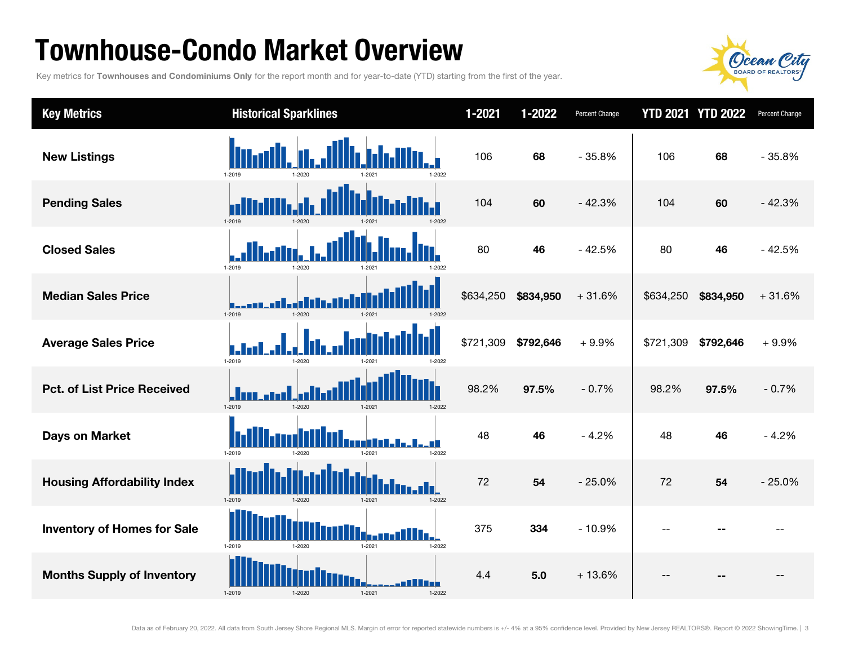### Townhouse-Condo Market Overview

Key metrics for Townhouses and Condominiums Only for the report month and for year-to-date (YTD) starting from the first of the year.



| <b>Key Metrics</b>                 | <b>Historical Sparklines</b>             | $1 - 2021$ | 1-2022    | Percent Change |                | <b>YTD 2021 YTD 2022</b> | Percent Change |
|------------------------------------|------------------------------------------|------------|-----------|----------------|----------------|--------------------------|----------------|
| <b>New Listings</b>                | 1-2019<br>1.2020<br>1-2022               | 106        | 68        | $-35.8%$       | 106            | 68                       | $-35.8%$       |
| <b>Pending Sales</b>               | $1 - 2019$<br>1-2020<br>1-2022           | 104        | 60        | $-42.3%$       | 104            | 60                       | $-42.3%$       |
| <b>Closed Sales</b>                | 1-2019<br>1-2020                         | 80         | 46        | $-42.5%$       | 80             | 46                       | $-42.5%$       |
| <b>Median Sales Price</b>          | $1 - 2019$<br>1-2020<br>1-2021<br>1-2022 | \$634,250  | \$834,950 | $+31.6%$       | \$634,250      | \$834,950                | $+31.6%$       |
| <b>Average Sales Price</b>         | 1-2019<br>$1 - 202f$                     | \$721,309  | \$792,646 | $+9.9%$        | \$721,309      | \$792,646                | $+9.9%$        |
| <b>Pct. of List Price Received</b> | 1-2019<br>1-2020<br>$1 - 2021$<br>1-2022 | 98.2%      | 97.5%     | $-0.7%$        | 98.2%          | 97.5%                    | $-0.7%$        |
| <b>Days on Market</b>              | 1-2019<br>1-2021<br>1-2022               | 48         | 46        | $-4.2%$        | 48             | 46                       | $-4.2%$        |
| <b>Housing Affordability Index</b> | 1-2019<br>1-2022<br>1-2020<br>$1 - 2021$ | 72         | 54        | $-25.0%$       | 72             | 54                       | $-25.0%$       |
| <b>Inventory of Homes for Sale</b> | 1-2019<br>$1 - 2021$<br>1-2022<br>1-2020 | 375        | 334       | $-10.9%$       | $-$            |                          |                |
| <b>Months Supply of Inventory</b>  | 1-2019<br>$1 - 2021$<br>1-2020<br>1-2022 | 4.4        | 5.0       | $+13.6%$       | $\overline{a}$ |                          | --             |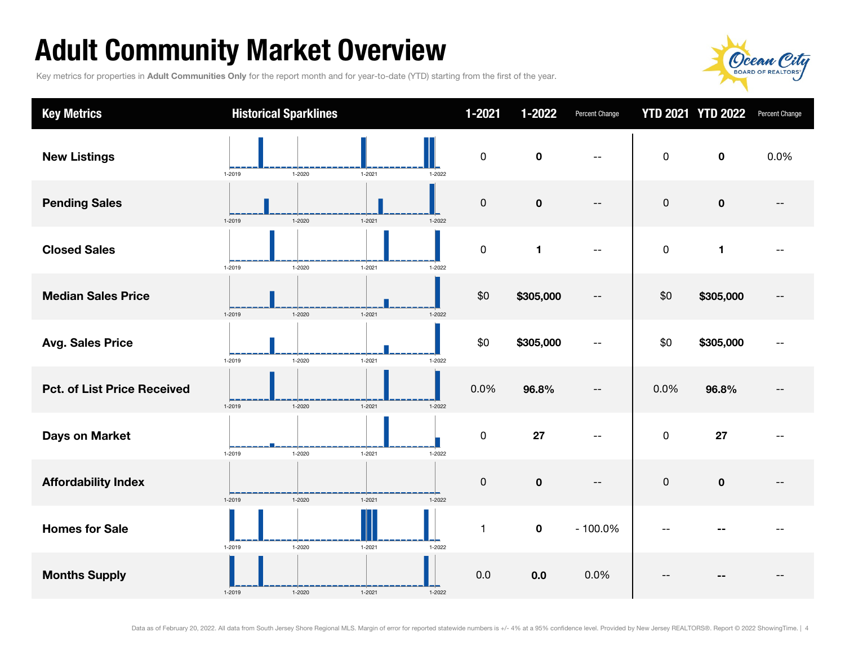## Adult Community Market Overview

Key metrics for properties in Adult Communities Only for the report month and for year-to-date (YTD) starting from the first of the year.



| <b>Key Metrics</b>                 | <b>Historical Sparklines</b> |            | $1 - 2021$                | $1 - 2022$   | Percent Change           |             | <b>YTD 2021 YTD 2022</b> | Percent Change |
|------------------------------------|------------------------------|------------|---------------------------|--------------|--------------------------|-------------|--------------------------|----------------|
| <b>New Listings</b>                | $1 - 2020$<br>1-2019         | $1 - 2021$ | $\pmb{0}$<br>$1 - 2022$   | $\mathbf 0$  | --                       | $\mathsf 0$ | $\mathbf 0$              | 0.0%           |
| <b>Pending Sales</b>               | $1 - 2020$<br>1-2019         | $1 - 2021$ | $\mathbf 0$<br>$1 - 2022$ | $\mathbf 0$  | $- -$                    | $\mathbf 0$ | $\pmb{0}$                |                |
| <b>Closed Sales</b>                | $1 - 2020$<br>1-2019         | $1 - 2021$ | $\pmb{0}$<br>1-2022       | $\mathbf{1}$ | $\overline{\phantom{a}}$ | $\pmb{0}$   | 1                        |                |
| <b>Median Sales Price</b>          | 1-2019<br>$1 - 2020$         | $1 - 2021$ | \$0<br>$1 - 2022$         | \$305,000    | $- -$                    | \$0         | \$305,000                |                |
| <b>Avg. Sales Price</b>            | 1-2019<br>1-2020             | $1 - 2021$ | \$0<br>1-2022             | \$305,000    | --                       | \$0         | \$305,000                |                |
| <b>Pct. of List Price Received</b> | 1-2019<br>$1 - 2020$         | $1 - 2021$ | 0.0%<br>$1 - 2022$        | 96.8%        | $\overline{\phantom{m}}$ | 0.0%        | 96.8%                    |                |
| <b>Days on Market</b>              | 1-2019<br>1-2020             | $1 - 2021$ | $\pmb{0}$<br>1-2022       | 27           |                          | $\mathbf 0$ | 27                       |                |
| <b>Affordability Index</b>         | 1-2019<br>$1 - 2020$         | $1 - 2021$ | $\mathbf 0$<br>$1 - 2022$ | $\pmb{0}$    | $-$                      | $\pmb{0}$   | $\pmb{0}$                |                |
| <b>Homes for Sale</b>              | 1-2019<br>1-2020             | $1 - 2021$ | $\mathbf{1}$<br>1-2022    | $\pmb{0}$    | $-100.0\%$               |             |                          |                |
| <b>Months Supply</b>               | 1-2019<br>$1 - 2020$         | $1 - 2021$ | 0.0<br>$1 - 2022$         | 0.0          | 0.0%                     |             |                          |                |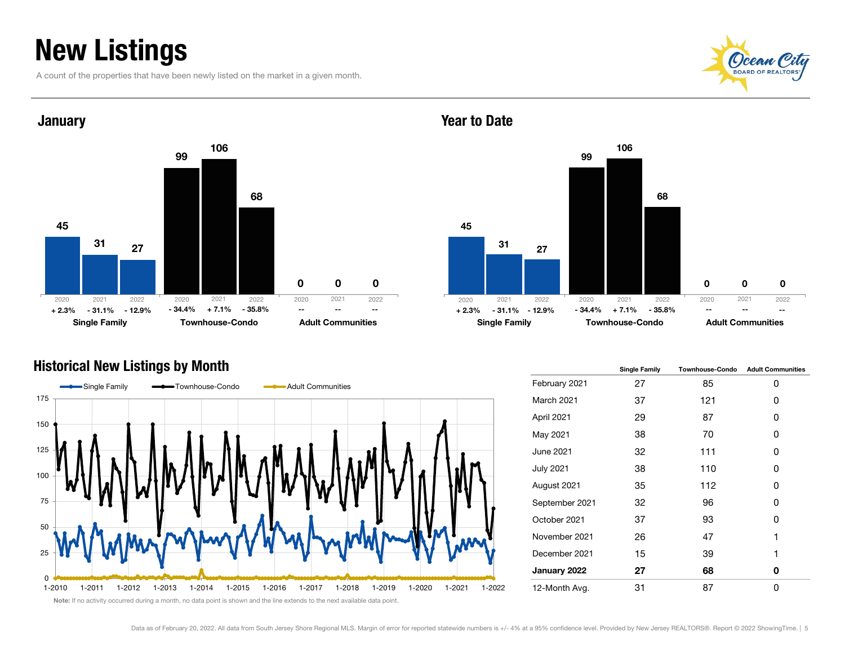### New Listings

A count of the properties that have been newly listed on the market in a given month.





#### Year to Date



#### Historical New Listings by Month



|                  | <b>Single Family</b> | <b>Townhouse-Condo</b> | <b>Adult Communities</b> |
|------------------|----------------------|------------------------|--------------------------|
| February 2021    | 27                   | 85                     | 0                        |
| March 2021       | 37                   | 121                    | 0                        |
| April 2021       | 29                   | 87                     | 0                        |
| May 2021         | 38                   | 70                     | 0                        |
| June 2021        | 32                   | 111                    | 0                        |
| <b>July 2021</b> | 38                   | 110                    | 0                        |
| August 2021      | 35                   | 112                    | 0                        |
| September 2021   | 32                   | 96                     | 0                        |
| October 2021     | 37                   | 93                     | 0                        |
| November 2021    | 26                   | 47                     | 1                        |
| December 2021    | 15                   | 39                     | 1                        |
| January 2022     | 27                   | 68                     | 0                        |
| 12-Month Avg.    | 31                   | 87                     | 0                        |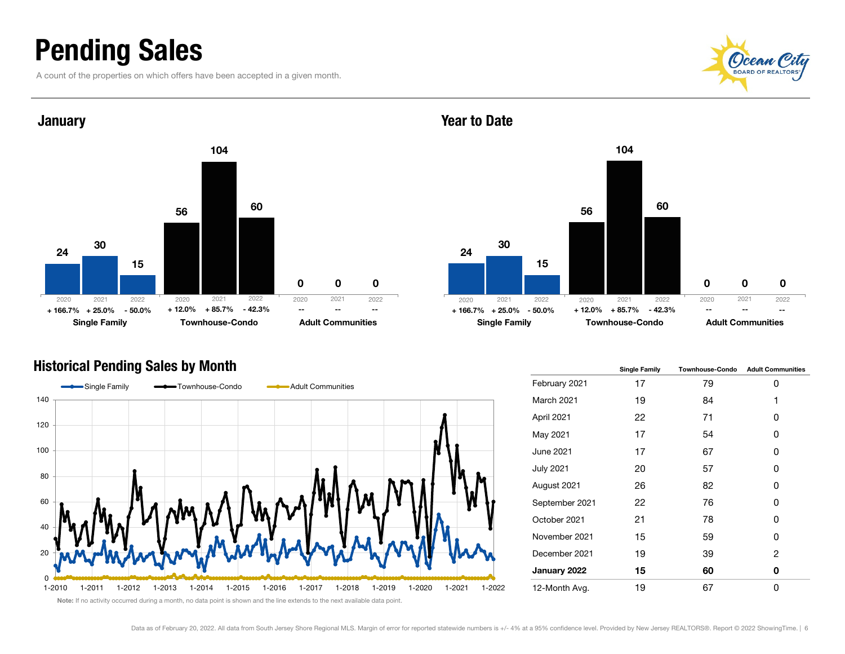### Pending Sales

A count of the properties on which offers have been accepted in a given month.





### Year to Date



#### Historical Pending Sales by Month



|                  | <b>Single Family</b> | <b>Townhouse-Condo</b> | <b>Adult Communities</b> |
|------------------|----------------------|------------------------|--------------------------|
| February 2021    | 17                   | 79                     | 0                        |
| March 2021       | 19                   | 84                     | 1                        |
| April 2021       | 22                   | 71                     | 0                        |
| May 2021         | 17                   | 54                     | 0                        |
| June 2021        | 17                   | 67                     | 0                        |
| <b>July 2021</b> | 20                   | 57                     | 0                        |
| August 2021      | 26                   | 82                     | Ω                        |
| September 2021   | 22                   | 76                     | 0                        |
| October 2021     | 21                   | 78                     | 0                        |
| November 2021    | 15                   | 59                     | 0                        |
| December 2021    | 19                   | 39                     | 2                        |
| January 2022     | 15                   | 60                     | 0                        |
| 12-Month Avg.    | 19                   | 67                     | 0                        |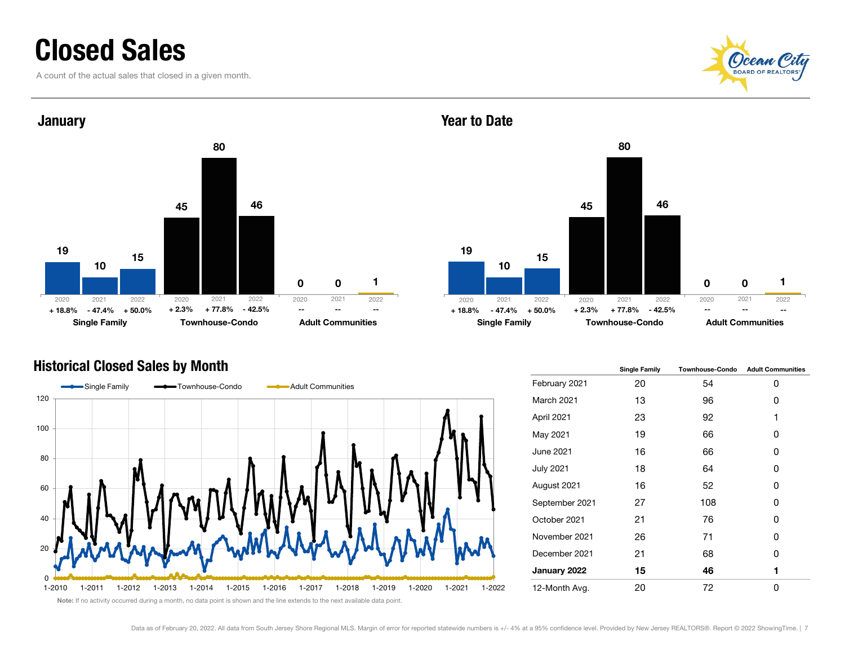### Closed Sales

A count of the actual sales that closed in a given month.





#### Year to Date



#### Historical Closed Sales by Month



|                  | <b>Single Family</b> | <b>Townhouse-Condo</b> | <b>Adult Communities</b> |
|------------------|----------------------|------------------------|--------------------------|
| February 2021    | 20                   | 54                     | 0                        |
| March 2021       | 13                   | 96                     | 0                        |
| April 2021       | 23                   | 92                     | 1                        |
| May 2021         | 19                   | 66                     | 0                        |
| June 2021        | 16                   | 66                     | 0                        |
| <b>July 2021</b> | 18                   | 64                     | 0                        |
| August 2021      | 16                   | 52                     | 0                        |
| September 2021   | 27                   | 108                    | 0                        |
| October 2021     | 21                   | 76                     | 0                        |
| November 2021    | 26                   | 71                     | 0                        |
| December 2021    | 21                   | 68                     | 0                        |
| January 2022     | 15                   | 46                     | 1                        |
| 12-Month Avg.    | 20                   | 72                     | 0                        |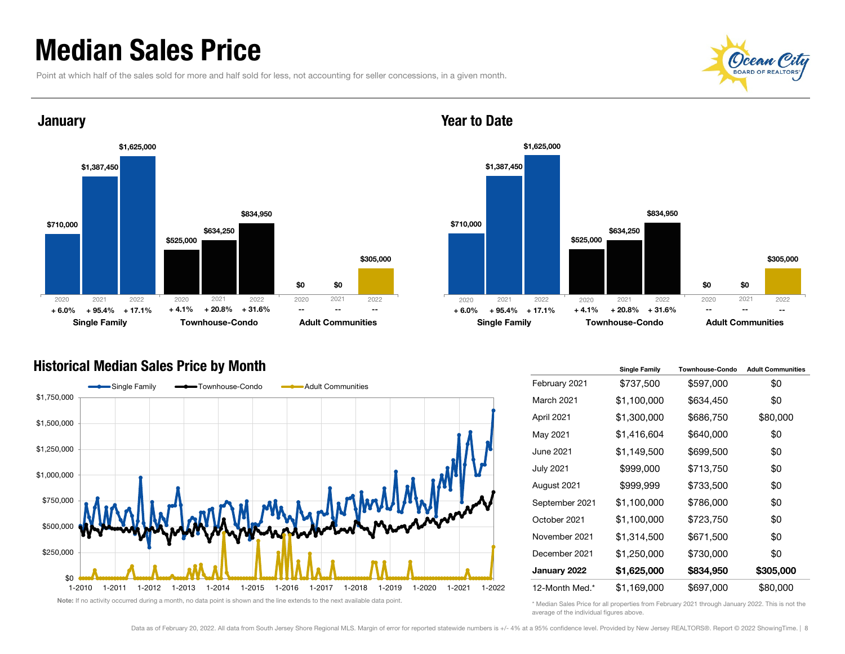### Median Sales Price

Point at which half of the sales sold for more and half sold for less, not accounting for seller concessions, in a given month.





#### Year to Date



#### Historical Median Sales Price by Month



|                   | <b>Single Family</b> | <b>Townhouse-Condo</b> | <b>Adult Communities</b> |
|-------------------|----------------------|------------------------|--------------------------|
| February 2021     | \$737,500            | \$597,000              | \$0                      |
| <b>March 2021</b> | \$1,100,000          | \$634,450              | \$0                      |
| April 2021        | \$1,300,000          | \$686,750              | \$80,000                 |
| May 2021          | \$1,416,604          | \$640,000              | \$0                      |
| June 2021         | \$1,149,500          | \$699,500              | \$0                      |
| <b>July 2021</b>  | \$999,000            | \$713,750              | \$0                      |
| August 2021       | \$999,999            | \$733,500              | \$0                      |
| September 2021    | \$1,100,000          | \$786,000              | \$0                      |
| October 2021      | \$1,100,000          | \$723,750              | \$0                      |
| November 2021     | \$1,314,500          | \$671,500              | \$0                      |
| December 2021     | \$1,250,000          | \$730,000              | \$0                      |
| January 2022      | \$1,625,000          | \$834,950              | \$305,000                |
| 12-Month Med.*    | \$1,169,000          | \$697,000              | \$80,000                 |

\* Median Sales Price for all properties from February 2021 through January 2022. This is not the average of the individual figures above.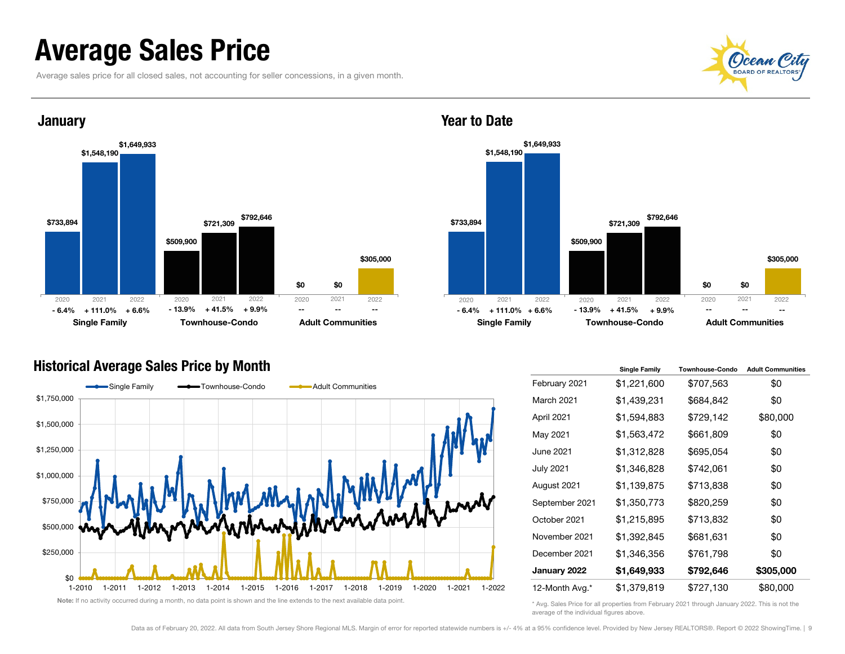### Average Sales Price

Average sales price for all closed sales, not accounting for seller concessions, in a given month.





#### Year to Date



#### Historical Average Sales Price by Month



|                   | <b>Single Family</b> | <b>Townhouse-Condo</b> | <b>Adult Communities</b> |
|-------------------|----------------------|------------------------|--------------------------|
| February 2021     | \$1,221,600          | \$707,563              | \$0                      |
| <b>March 2021</b> | \$1,439,231          | \$684,842              | \$0                      |
| April 2021        | \$1,594,883          | \$729,142              | \$80,000                 |
| May 2021          | \$1,563,472          | \$661,809              | \$0                      |
| June 2021         | \$1,312,828          | \$695,054              | \$0                      |
| <b>July 2021</b>  | \$1,346,828          | \$742,061              | \$0                      |
| August 2021       | \$1,139,875          | \$713,838              | \$0                      |
| September 2021    | \$1,350,773          | \$820,259              | \$0                      |
| October 2021      | \$1,215,895          | \$713,832              | \$0                      |
| November 2021     | \$1,392,845          | \$681,631              | \$0                      |
| December 2021     | \$1,346,356          | \$761,798              | \$0                      |
| January 2022      | \$1,649,933          | \$792,646              | \$305,000                |
| 12-Month Avg.*    | \$1,379,819          | \$727,130              | \$80,000                 |

\* Avg. Sales Price for all properties from February 2021 through January 2022. This is not the average of the individual figures above.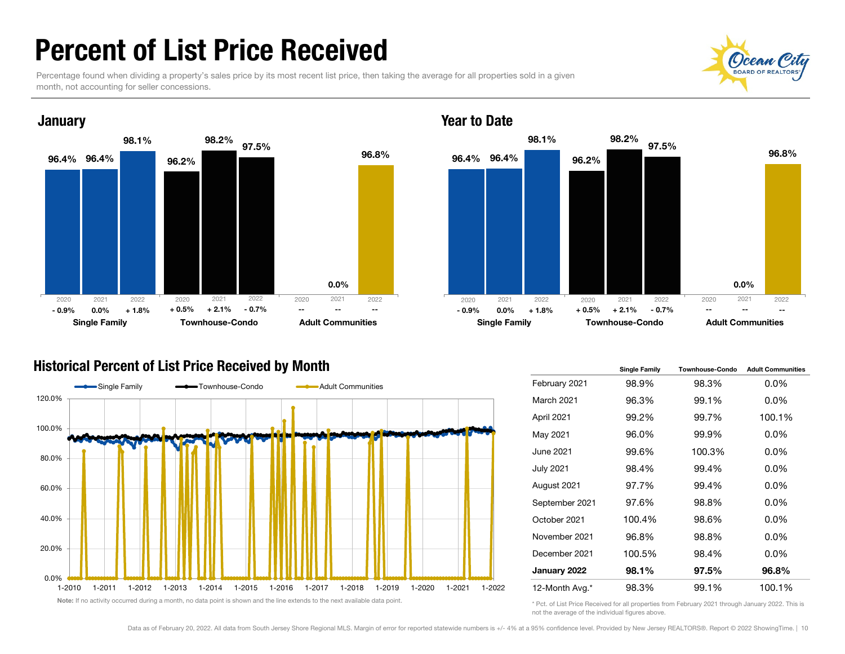### Percent of List Price Received

Percentage found when dividing a property's sales price by its most recent list price, then taking the average for all properties sold in a given month, not accounting for seller concessions.



#### Year to Date



#### Historical Percent of List Price Received by Month



|                   | <b>Single Family</b> | <b>Townhouse-Condo</b> | <b>Adult Communities</b> |
|-------------------|----------------------|------------------------|--------------------------|
| February 2021     | 98.9%                | 98.3%                  | $0.0\%$                  |
| <b>March 2021</b> | 96.3%                | 99.1%                  | $0.0\%$                  |
| April 2021        | 99.2%                | 99.7%                  | 100.1%                   |
| May 2021          | 96.0%                | 99.9%                  | $0.0\%$                  |
| June 2021         | 99.6%                | 100.3%                 | $0.0\%$                  |
| <b>July 2021</b>  | 98.4%                | 99.4%                  | $0.0\%$                  |
| August 2021       | 97.7%                | 99.4%                  | $0.0\%$                  |
| September 2021    | 97.6%                | 98.8%                  | $0.0\%$                  |
| October 2021      | 100.4%               | 98.6%                  | $0.0\%$                  |
| November 2021     | 96.8%                | 98.8%                  | $0.0\%$                  |
| December 2021     | 100.5%               | 98.4%                  | $0.0\%$                  |
| January 2022      | 98.1%                | 97.5%                  | 96.8%                    |
| 12-Month Avg.*    | 98.3%                | 99.1%                  | 100.1%                   |

\* Pct. of List Price Received for all properties from February 2021 through January 2022. This is not the average of the individual figures above.

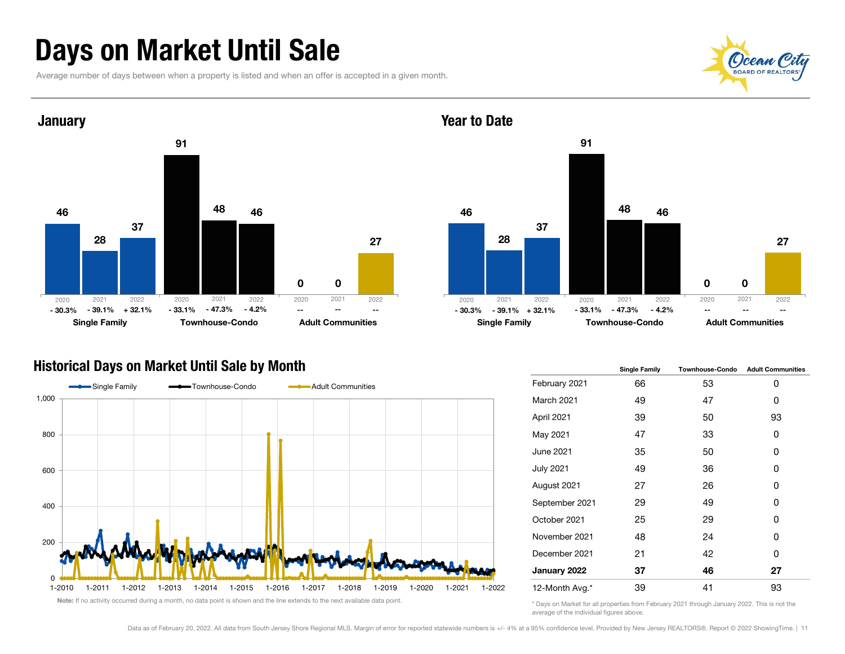### Days on Market Until Sale

Average number of days between when a property is listed and when an offer is accepted in a given month.





#### Year to Date



#### Historical Days on Market Until Sale by Month



|                   | <b>Single Family</b> | <b>Townhouse-Condo</b> | <b>Adult Communities</b> |  |  |
|-------------------|----------------------|------------------------|--------------------------|--|--|
| February 2021     | 66                   | 53                     | 0                        |  |  |
| <b>March 2021</b> | 49                   | 47                     | 0                        |  |  |
| April 2021        | 39                   | 50                     | 93                       |  |  |
| May 2021          | 47                   | 33                     | 0                        |  |  |
| June 2021         | 35                   | 50                     | 0                        |  |  |
| <b>July 2021</b>  | 49                   | 36                     | 0                        |  |  |
| August 2021       | 27                   | 26                     | 0                        |  |  |
| September 2021    | 29<br>25<br>48       | 49<br>29<br>24         | 0                        |  |  |
| October 2021      |                      |                        | 0                        |  |  |
| November 2021     |                      |                        | 0                        |  |  |
| December 2021     | 21                   | 42                     | 0                        |  |  |
| January 2022      | 37                   | 46                     | 27                       |  |  |
| 12-Month Avg.*    | 39                   | 41                     | 93                       |  |  |

\* Days on Market for all properties from February 2021 through January 2022. This is not the average of the individual figures above.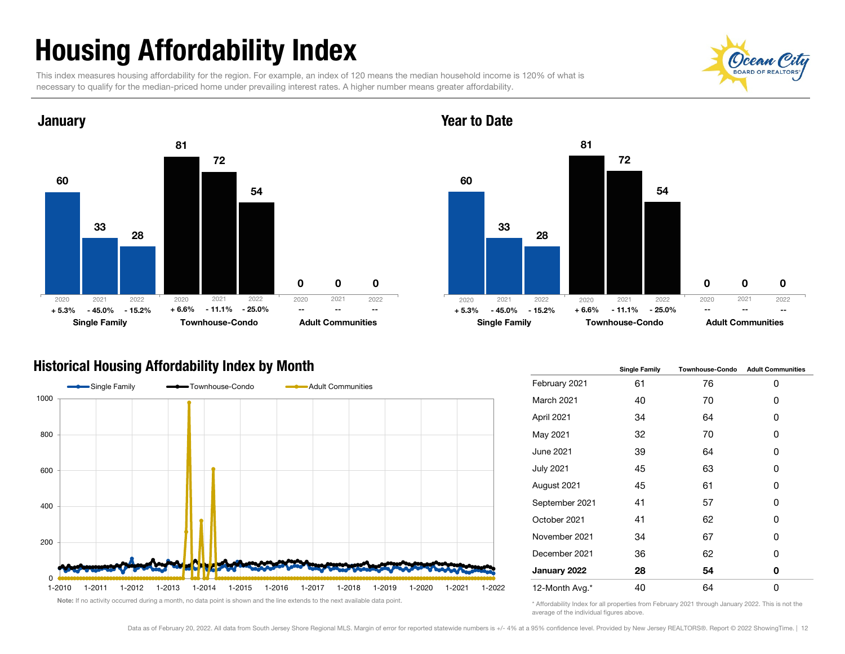## Housing Affordability Index

This index measures housing affordability for the region. For example, an index of 120 means the median household income is 120% of what is necessary to qualify for the median-priced home under prevailing interest rates. A higher number means greater affordability.



#### Year to Date



#### Historical Housing Affordability Index by Month



|                  | <b>Single Family</b> | <b>Townhouse-Condo</b> | <b>Adult Communities</b> |
|------------------|----------------------|------------------------|--------------------------|
| February 2021    | 61                   | 76                     | 0                        |
| March 2021       | 40                   | 70                     | 0                        |
| April 2021       | 34                   | 64                     | 0                        |
| May 2021         | 32                   | 70                     | 0                        |
| <b>June 2021</b> | 39                   | 64                     | 0                        |
| <b>July 2021</b> | 45                   | 63                     | 0                        |
| August 2021      | 45                   | 61                     | 0                        |
| September 2021   | 41                   | 57                     | 0                        |
| October 2021     | 41                   | 62                     | 0                        |
| November 2021    | 34                   | 67                     | 0                        |
| December 2021    | 36                   | 62                     | 0                        |
| January 2022     | 28                   | 54                     | 0                        |
| 12-Month Avg.*   | 40                   | 64                     | 0                        |

\* Affordability Index for all properties from February 2021 through January 2022. This is not the average of the individual figures above.

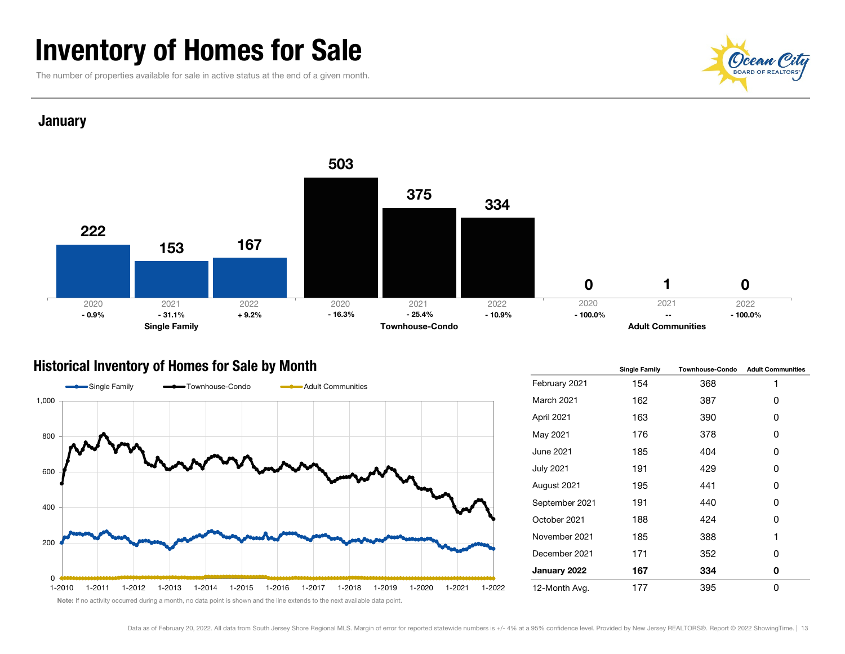### Inventory of Homes for Sale

The number of properties available for sale in active status at the end of a given month.



#### **January**



#### Historical Inventory of Homes for Sale by Month



|                   | <b>Single Family</b> | <b>Townhouse-Condo</b> | <b>Adult Communities</b> |  |  |
|-------------------|----------------------|------------------------|--------------------------|--|--|
| February 2021     | 154                  | 368                    | 1                        |  |  |
| <b>March 2021</b> | 162                  | 387                    | 0                        |  |  |
| April 2021        | 163                  | 390                    | 0                        |  |  |
| May 2021          | 176                  | 378                    | 0                        |  |  |
| June 2021         | 185                  | 404                    | 0                        |  |  |
| <b>July 2021</b>  | 191                  | 429                    | 0                        |  |  |
| August 2021       | 195                  | 441                    | 0                        |  |  |
| September 2021    | 191                  | 440                    | 0                        |  |  |
| October 2021      | 188                  | 424                    | 0                        |  |  |
| November 2021     | 185                  | 388                    | 1                        |  |  |
| December 2021     | 171                  | 352                    | 0                        |  |  |
| January 2022      | 167                  | 334                    | 0                        |  |  |
| 12-Month Avg.     | 177                  | 395                    | 0                        |  |  |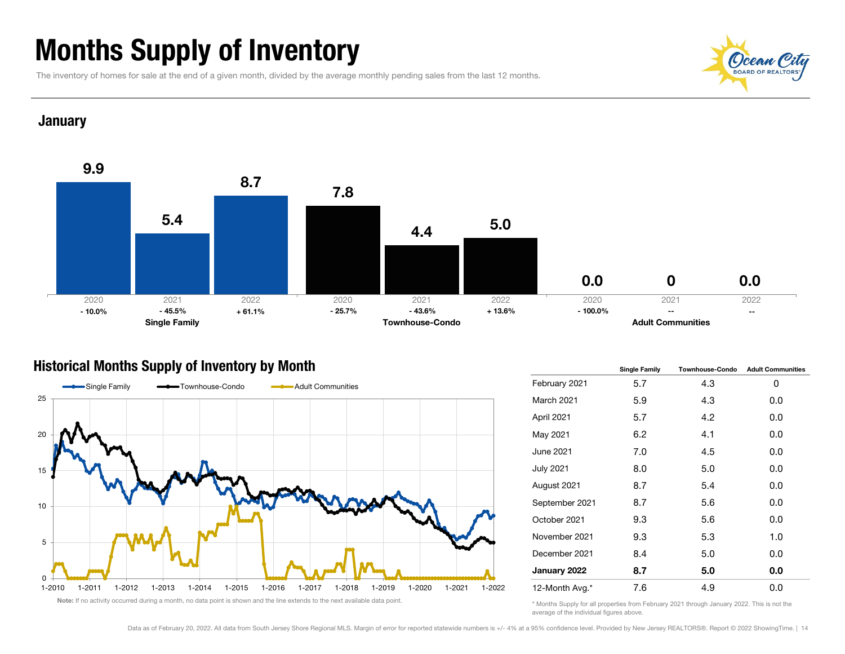### Months Supply of Inventory

The inventory of homes for sale at the end of a given month, divided by the average monthly pending sales from the last 12 months.



#### **January**



#### Historical Months Supply of Inventory by Month



|                  | <b>Single Family</b> | <b>Townhouse-Condo</b> | <b>Adult Communities</b> |  |  |
|------------------|----------------------|------------------------|--------------------------|--|--|
| February 2021    | 5.7                  | 4.3                    | 0                        |  |  |
| March 2021       | 5.9                  | 4.3                    | 0.0                      |  |  |
| April 2021       | 5.7                  | 4.2                    | 0.0                      |  |  |
| May 2021         | 6.2                  | 4.1                    | 0.0                      |  |  |
| June 2021        | 7.0                  | 4.5                    | 0.0                      |  |  |
| <b>July 2021</b> | 8.0                  | 5.0                    | 0.0                      |  |  |
| August 2021      | 8.7                  | 5.4                    | 0.0                      |  |  |
| September 2021   | 8.7                  | 5.6                    | 0.0                      |  |  |
| October 2021     | 9.3                  | 5.6                    | 0.0                      |  |  |
| November 2021    | 9.3                  | 5.3                    | 1.0                      |  |  |
| December 2021    | 8.4                  | 5.0                    | 0.0                      |  |  |
| January 2022     | 8.7                  | 5.0                    | 0.0                      |  |  |
| 12-Month Avg.*   | 7.6                  | 4.9                    | 0.0                      |  |  |

<sup>\*</sup> Months Supply for all properties from February 2021 through January 2022. This is not the average of the individual figures above.